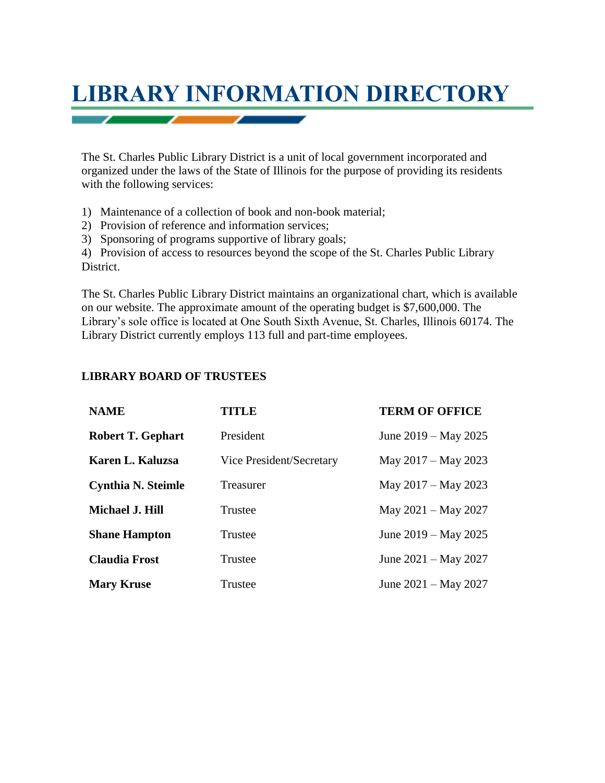

The St. Charles Public Library District is a unit of local government incorporated and organized under the laws of the State of Illinois for the purpose of providing its residents with the following services:

- 1) Maintenance of a collection of book and non-book material;
- 2) Provision of reference and information services;
- 3) Sponsoring of programs supportive of library goals;

4) Provision of access to resources beyond the scope of the St. Charles Public Library District.

The St. Charles Public Library District maintains an organizational chart, which is available on our website. The approximate amount of the operating budget is \$7,600,000. The Library's sole office is located at One South Sixth Avenue, St. Charles, Illinois 60174. The Library District currently employs 113 full and part-time employees.

## **LIBRARY BOARD OF TRUSTEES**

| <b>NAME</b>               | <b>TITLE</b>             | <b>TERM OF OFFICE</b>  |
|---------------------------|--------------------------|------------------------|
| Robert T. Gephart         | President                | June 2019 – May 2025   |
| Karen L. Kaluzsa          | Vice President/Secretary | May 2017 – May 2023    |
| <b>Cynthia N. Steimle</b> | <b>Treasurer</b>         | May 2017 – May 2023    |
| <b>Michael J. Hill</b>    | Trustee                  | May $2021 -$ May 2027  |
| <b>Shane Hampton</b>      | Trustee                  | June 2019 – May 2025   |
| <b>Claudia Frost</b>      | Trustee                  | June $2021 - May 2027$ |
| <b>Mary Kruse</b>         | Trustee                  | June $2021 - May 2027$ |